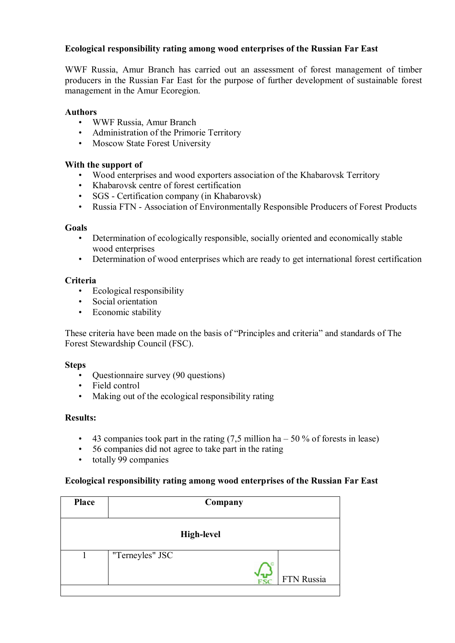# **Ecological responsibility rating among wood enterprises of the Russian Far East**

WWF Russia, Amur Branch has carried out an assessment of forest management of timber producers in the Russian Far East for the purpose of further development of sustainable forest management in the Amur Ecoregion.

#### **Authors**

- WWF Russia, Amur Branch
- Administration of the Primorie Territory
- Moscow State Forest University

#### **With the support of**

- Wood enterprises and wood exporters association of the Khabarovsk Territory
- Khabarovsk centre of forest certification
- SGS Certification company (in Khabarovsk)
- Russia FTN Association of Environmentally Responsible Producers of Forest Products

#### **Goals**

- Determination of ecologically responsible, socially oriented and economically stable wood enterprises
- Determination of wood enterprises which are ready to get international forest certification

## **Criteria**

- Ecological responsibility
- Social orientation
- Economic stability

These criteria have been made on the basis of "Principles and criteria" and standards of The Forest Stewardship Council (FSC).

#### **Steps**

- Questionnaire survey (90 questions)
- Field control
- Making out of the ecological responsibility rating

## **Results:**

- 43 companies took part in the rating  $(7.5 \text{ million ha} 50\% \text{ of forests in lease})$
- 56 companies did not agree to take part in the rating
- totally 99 companies

## **Ecological responsibility rating among wood enterprises of the Russian Far East**

| <b>Place</b>      | Company         |  |  |            |  |  |
|-------------------|-----------------|--|--|------------|--|--|
| <b>High-level</b> |                 |  |  |            |  |  |
|                   | "Terneyles" JSC |  |  | FTN Russia |  |  |
|                   |                 |  |  |            |  |  |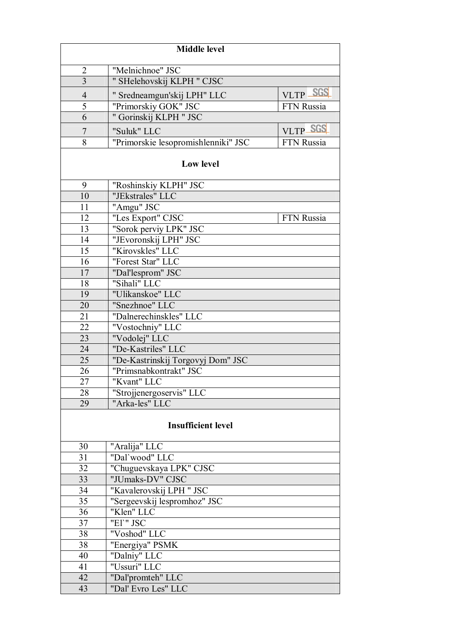| <b>Middle level</b>       |                                                    |            |  |  |  |
|---------------------------|----------------------------------------------------|------------|--|--|--|
| $\overline{2}$            | "Melnichnoe" JSC                                   |            |  |  |  |
| $\overline{3}$            | " SHelehovskij KLPH " CJSC                         |            |  |  |  |
| $\overline{4}$            | " Sredneamgun'skij LPH" LLC                        | VLTP SGS   |  |  |  |
| $\overline{5}$            | "Primorskiy GOK" JSC                               | FTN Russia |  |  |  |
| $\overline{6}$            | " Gorinskij KLPH " JSC                             |            |  |  |  |
|                           |                                                    | VLTP SGS   |  |  |  |
| $\overline{7}$<br>8       | "Suluk" LLC<br>"Primorskie lesopromishlenniki" JSC | FTN Russia |  |  |  |
|                           |                                                    |            |  |  |  |
| <b>Low level</b>          |                                                    |            |  |  |  |
| 9                         | "Roshinskiy KLPH" JSC                              |            |  |  |  |
| 10                        | "JEkstrales" LLC                                   |            |  |  |  |
| 11                        | "Amgu" JSC                                         |            |  |  |  |
| 12                        | "Les Export" CJSC                                  | FTN Russia |  |  |  |
| 13                        | "Sorok perviy LPK" JSC                             |            |  |  |  |
| 14                        | "JEvoronskij LPH" JSC                              |            |  |  |  |
| 15                        | "Kirovskles" LLC                                   |            |  |  |  |
| 16                        | "Forest Star" LLC                                  |            |  |  |  |
| 17                        | "Dal'lesprom" JSC                                  |            |  |  |  |
| 18                        | "Sihali" LLC                                       |            |  |  |  |
| 19                        | "Ulikanskoe" LLC                                   |            |  |  |  |
| 20                        | "Snezhnoe" LLC                                     |            |  |  |  |
| 21                        | "Dalnerechinskles" LLC                             |            |  |  |  |
| 22                        | "Vostochniy" LLC                                   |            |  |  |  |
| 23                        | "Vodolej" LLC                                      |            |  |  |  |
| 24                        | "De-Kastriles" LLC                                 |            |  |  |  |
| $\overline{25}$           | "De-Kastrinskij Torgovyj Dom" JSC                  |            |  |  |  |
| 26                        | "Primsnabkontrakt" JSC                             |            |  |  |  |
| 27                        | "Kvant" LLC                                        |            |  |  |  |
| 28                        | "Strojjenergoservis" LLC                           |            |  |  |  |
| 29                        | "Arka-les" LLC                                     |            |  |  |  |
| <b>Insufficient level</b> |                                                    |            |  |  |  |
| 30                        | "Aralija" LLC                                      |            |  |  |  |
| 31                        | "Dal'wood" LLC                                     |            |  |  |  |
| 32                        | "Chuguevskaya LPK" CJSC                            |            |  |  |  |
| 33                        | "JUmaks-DV" CJSC                                   |            |  |  |  |
| 34                        | "Kavalerovskij LPH " JSC                           |            |  |  |  |
| 35                        | "Sergeevskij lespromhoz" JSC                       |            |  |  |  |
| 36                        | "Klen" LLC                                         |            |  |  |  |
| 37                        | "El'" JSC                                          |            |  |  |  |
| 38                        | "Voshod" LLC                                       |            |  |  |  |
| 38                        | "Energiya" PSMK                                    |            |  |  |  |
| 40                        | "Dalniy" LLC                                       |            |  |  |  |
| 41                        | "Ussuri" LLC                                       |            |  |  |  |
| 42                        | "Dal'promteh" LLC                                  |            |  |  |  |
| 43                        | "Dal' Evro Les" LLC                                |            |  |  |  |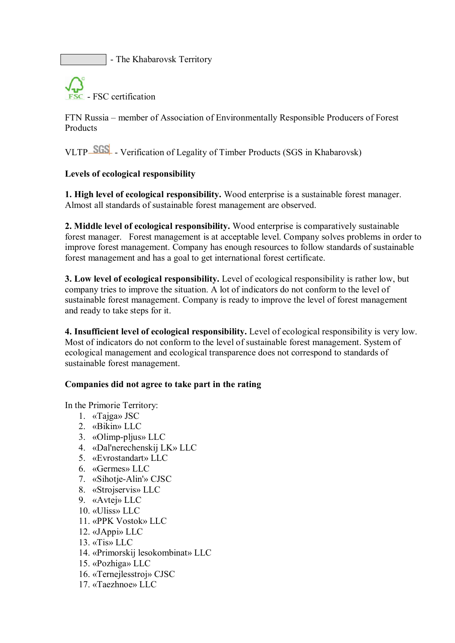- The Khabarovsk Territory



FTN Russia – member of Association of Environmentally Responsible Producers of Forest Products

VLTP SGS - Verification of Legality of Timber Products (SGS in Khabarovsk)

## **Levels of ecological responsibility**

**1. High level of ecological responsibility.** Wood enterprise is a sustainable forest manager. Almost all standards of sustainable forest management are observed.

**2. Middle level of ecological responsibility.** Wood enterprise is comparatively sustainable forest manager. Forest management is at acceptable level. Company solves problems in order to improve forest management. Company has enough resources to follow standards of sustainable forest management and has a goal to get international forest certificate.

**3. Low level of ecological responsibility.** Level of ecological responsibility is rather low, but company tries to improve the situation. A lot of indicators do not conform to the level of sustainable forest management. Company is ready to improve the level of forest management and ready to take steps for it.

**4. Insufficient level of ecological responsibility.** Level of ecological responsibility is very low. Most of indicators do not conform to the level of sustainable forest management. System of ecological management and ecological transparence does not correspond to standards of sustainable forest management.

## **Companies did not agree to take part in the rating**

In the Primorie Territory:

- 1. «Tajga» JSC
- 2. «Bikin» LLC
- 3. «Olimp-pljus» LLC
- 4. «Dal'nerechenskij LK» LLC
- 5. «Evrostandart» LLC
- 6. «Germes» LLC
- 7. «Sihotje-Alin'» CJSC
- 8. «Strojservis» LLC
- 9. «Avtej» LLC
- 10. «Uliss» LLC
- 11. «PPK Vostok» LLC
- 12. «JAppi» LLC
- 13. «Tis» LLC
- 14. «Primorskij lesokombinat» LLC
- 15. «Pozhiga» LLC
- 16. «Ternejlesstroj» CJSC
- 17. «Taezhnoe» LLC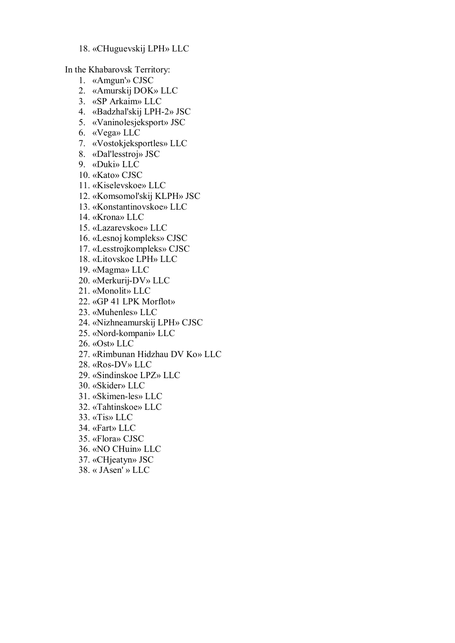#### 18. «CHuguevskij LPH» LLC

In the Khabarovsk Territory:

- 1. «Amgun'» CJSC
- 2. «Amurskij DOK» LLC
- 3. «SP Arkaim» LLC
- 4. «Badzhal'skij LPH-2» JSC
- 5. «Vaninolesjeksport» JSC
- 6. «Vega» LLC
- 7. «Vostokjeksportles» LLC
- 8. «Dal'lesstroj» JSC
- 9. «Duki» LLC
- 10. «Kato» CJSC
- 11. «Kiselevskoe» LLC
- 12. «Komsomol'skij KLPH» JSC
- 13. «Konstantinovskoe» LLC
- 14. «Krona» LLC
- 15. «Lazarevskoe» LLC
- 16. «Lesnoj kompleks» CJSC
- 17. «Lesstrojkompleks» CJSC
- 18. «Litovskoe LPH» LLC
- 19. «Magma» LLC
- 20. «Merkurij-DV» LLC
- 21. «Monolit» LLC
- 22. «GP 41 LPK Morflot»
- 23. «Muhenles» LLC
- 24. «Nizhneamurskij LPH» CJSC
- 25. «Nord-kompani» LLC
- 26. «Ost» LLC
- 27. «Rimbunan Hidzhau DV Ko» LLC
- 28. «Ros-DV» LLC
- 29. «Sindinskoe LPZ» LLC
- 30. «Skider» LLC
- 31. «Skimen-les» LLC
- 32. «Tahtinskoe» LLC
- 33. «Tis» LLC
- 34. «Fart» LLC
- 35. «Flora» CJSC
- 36. «NO CHuin» LLC
- 37. «CHjeatyn» JSC
- 38. « JAsen' » LLC